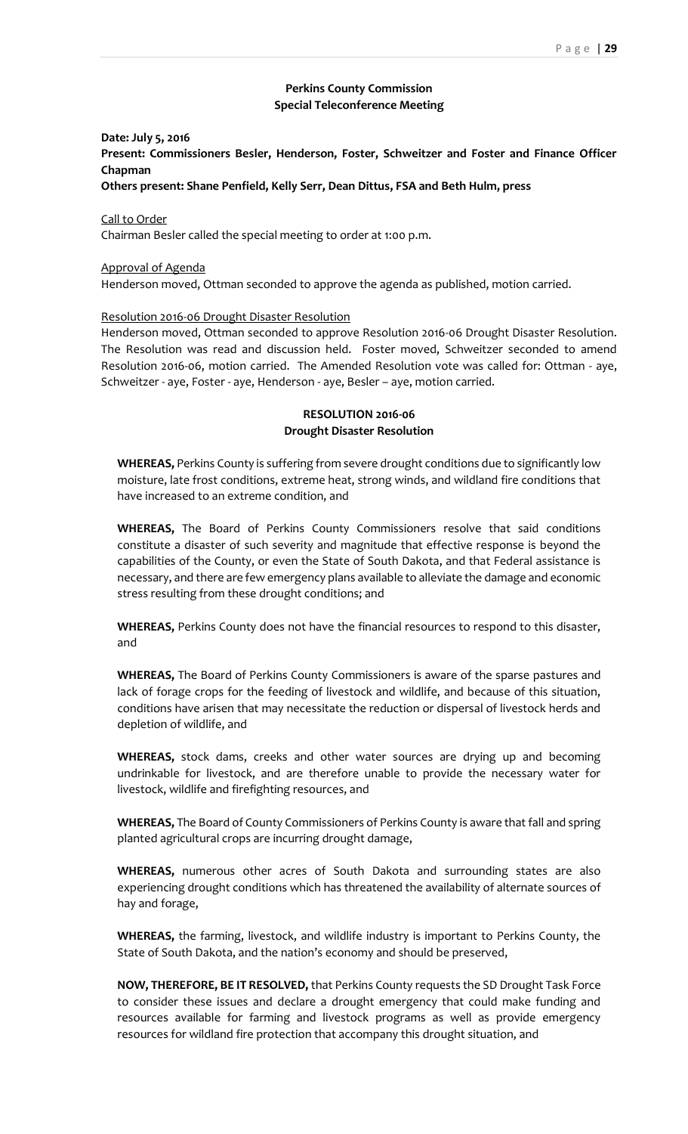# **Perkins County Commission Special Teleconference Meeting**

# **Date: July 5, 2016 Present: Commissioners Besler, Henderson, Foster, Schweitzer and Foster and Finance Officer Chapman**

**Others present: Shane Penfield, Kelly Serr, Dean Dittus, FSA and Beth Hulm, press**

# Call to Order

Chairman Besler called the special meeting to order at 1:00 p.m.

## Approval of Agenda

Henderson moved, Ottman seconded to approve the agenda as published, motion carried.

### Resolution 2016-06 Drought Disaster Resolution

Henderson moved, Ottman seconded to approve Resolution 2016-06 Drought Disaster Resolution. The Resolution was read and discussion held. Foster moved, Schweitzer seconded to amend Resolution 2016-06, motion carried. The Amended Resolution vote was called for: Ottman - aye, Schweitzer - aye, Foster - aye, Henderson - aye, Besler – aye, motion carried.

# **RESOLUTION 2016-06 Drought Disaster Resolution**

**WHEREAS,** Perkins County is suffering from severe drought conditions due to significantly low moisture, late frost conditions, extreme heat, strong winds, and wildland fire conditions that have increased to an extreme condition, and

**WHEREAS,** The Board of Perkins County Commissioners resolve that said conditions constitute a disaster of such severity and magnitude that effective response is beyond the capabilities of the County, or even the State of South Dakota, and that Federal assistance is necessary, and there are few emergency plans available to alleviate the damage and economic stress resulting from these drought conditions; and

**WHEREAS,** Perkins County does not have the financial resources to respond to this disaster, and

**WHEREAS,** The Board of Perkins County Commissioners is aware of the sparse pastures and lack of forage crops for the feeding of livestock and wildlife, and because of this situation, conditions have arisen that may necessitate the reduction or dispersal of livestock herds and depletion of wildlife, and

**WHEREAS,** stock dams, creeks and other water sources are drying up and becoming undrinkable for livestock, and are therefore unable to provide the necessary water for livestock, wildlife and firefighting resources, and

**WHEREAS,** The Board of County Commissioners of Perkins County is aware that fall and spring planted agricultural crops are incurring drought damage,

**WHEREAS,** numerous other acres of South Dakota and surrounding states are also experiencing drought conditions which has threatened the availability of alternate sources of hay and forage,

**WHEREAS,** the farming, livestock, and wildlife industry is important to Perkins County, the State of South Dakota, and the nation's economy and should be preserved,

**NOW, THEREFORE, BE IT RESOLVED,** that Perkins County requests the SD Drought Task Force to consider these issues and declare a drought emergency that could make funding and resources available for farming and livestock programs as well as provide emergency resources for wildland fire protection that accompany this drought situation, and